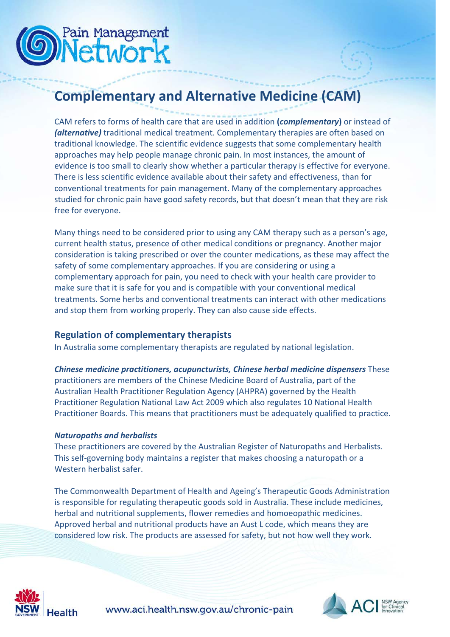

## **Complementary and Alternative Medicine (CAM)**

CAM refers to forms of health care that are used in addition **(***complementary***)** or instead of *(alternative)* traditional medical treatment. Complementary therapies are often based on traditional knowledge. The scientific evidence suggests that some complementary health approaches may help people manage chronic pain. In most instances, the amount of evidence is too small to clearly show whether a particular therapy is effective for everyone. There is less scientific evidence available about their safety and effectiveness, than for conventional treatments for pain management. Many of the complementary approaches studied for chronic pain have good safety records, but that doesn't mean that they are risk free for everyone.

Many things need to be considered prior to using any CAM therapy such as a person's age, current health status, presence of other medical conditions or pregnancy. Another major consideration is taking prescribed or over the counter medications, as these may affect the safety of some complementary approaches. If you are considering or using a complementary approach for pain, you need to check with your health care provider to make sure that it is safe for you and is compatible with your conventional medical treatments. Some herbs and conventional treatments can interact with other medications and stop them from working properly. They can also cause side effects.

#### **Regulation of complementary therapists**

In Australia some complementary therapists are regulated by national legislation.

*Chinese medicine practitioners, acupuncturists, Chinese herbal medicine dispensers* These practitioners are members of the Chinese Medicine Board of Australia, part of the Australian Health Practitioner Regulation Agency (AHPRA) governed by the Health Practitioner Regulation National Law Act 2009 which also regulates 10 National Health Practitioner Boards. This means that practitioners must be adequately qualified to practice.

#### *Naturopaths and herbalists*

These practitioners are covered by the Australian Register of Naturopaths and Herbalists. This self-governing body maintains a register that makes choosing a naturopath or a Western herbalist safer.

The Commonwealth Department of Health and Ageing's Therapeutic Goods Administration is responsible for regulating therapeutic goods sold in Australia. These include medicines, herbal and nutritional supplements, flower remedies and homoeopathic medicines. Approved herbal and nutritional products have an Aust L code, which means they are considered low risk. The products are assessed for safety, but not how well they work.



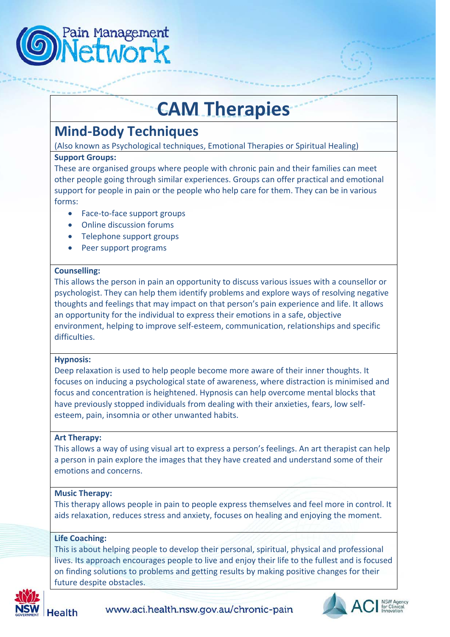

## **CAM Therapies**

## **Mind-Body Techniques**

(Also known as Psychological techniques, Emotional Therapies or Spiritual Healing)

#### **Support Groups:**

These are organised groups where people with chronic pain and their families can meet other people going through similar experiences. Groups can offer practical and emotional support for people in pain or the people who help care for them. They can be in various forms:

- Face-to-face support groups
- Online discussion forums
- Telephone support groups
- Peer support programs

#### **Counselling:**

This allows the person in pain an opportunity to discuss various issues with a counsellor or psychologist. They can help them identify problems and explore ways of resolving negative thoughts and feelings that may impact on that person's pain experience and life. It allows an opportunity for the individual to express their emotions in a safe, objective environment, helping to improve self-esteem, communication, relationships and specific difficulties.

#### **Hypnosis:**

Deep relaxation is used to help people become more aware of their inner thoughts. It focuses on inducing a psychological state of awareness, where distraction is minimised and focus and concentration is heightened. Hypnosis can help overcome mental blocks that have previously stopped individuals from dealing with their anxieties, fears, low selfesteem, pain, insomnia or other unwanted habits.

#### **Art Therapy:**

This allows a way of using visual art to express a person's feelings. An art therapist can help a person in pain explore the images that they have created and understand some of their emotions and concerns.

#### **Music Therapy:**

This therapy allows people in pain to people express themselves and feel more in control. It aids relaxation, reduces stress and anxiety, focuses on healing and enjoying the moment.

#### **Life Coaching:**

This is about helping people to develop their personal, spiritual, physical and professional lives. Its approach encourages people to live and enjoy their life to the fullest and is focused on finding solutions to problems and getting results by making positive changes for their future despite obstacles.



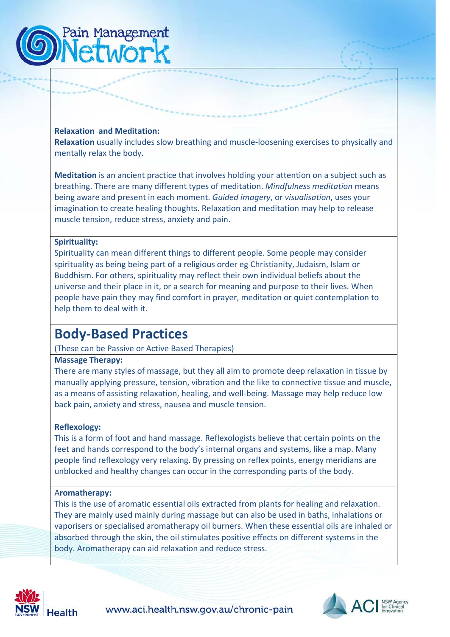

#### **Relaxation and Meditation:**

**Relaxation** usually includes slow breathing and muscle-loosening exercises to physically and mentally relax the body.

**Meditation** is an ancient practice that involves holding your attention on a subject such as breathing. There are many different types of meditation. *Mindfulness meditation* means being aware and present in each moment. *Guided imagery*, or *visualisation*, uses your imagination to create healing thoughts. Relaxation and meditation may help to release muscle tension, reduce stress, anxiety and pain.

#### **Spirituality:**

Spirituality can mean different things to different people. Some people may consider spirituality as being being part of a religious order eg Christianity, Judaism, Islam or Buddhism. For others, spirituality may reflect their own individual beliefs about the universe and their place in it, or a search for meaning and purpose to their lives. When people have pain they may find comfort in prayer, meditation or quiet contemplation to help them to deal with it.

### **Body-Based Practices**

(These can be Passive or Active Based Therapies)

#### **Massage Therapy:**

There are many styles of massage, but they all aim to promote deep relaxation in tissue by manually applying pressure, tension, vibration and the like to connective tissue and muscle, as a means of assisting relaxation, healing, and well-being. Massage may help reduce low back pain, anxiety and stress, nausea and muscle tension.

#### **Reflexology:**

This is a form of foot and hand massage. Reflexologists believe that certain points on the feet and hands correspond to the body's internal organs and systems, like a map. Many people find reflexology very relaxing. By pressing on reflex points, energy meridians are unblocked and healthy changes can occur in the corresponding parts of the body.

#### A**romatherapy:**

This is the use of aromatic essential oils extracted from plants for healing and relaxation. They are mainly used mainly during massage but can also be used in baths, inhalations or vaporisers or specialised aromatherapy oil burners. When these essential oils are inhaled or absorbed through the skin, the oil stimulates positive effects on different systems in the body. Aromatherapy can aid relaxation and reduce stress.



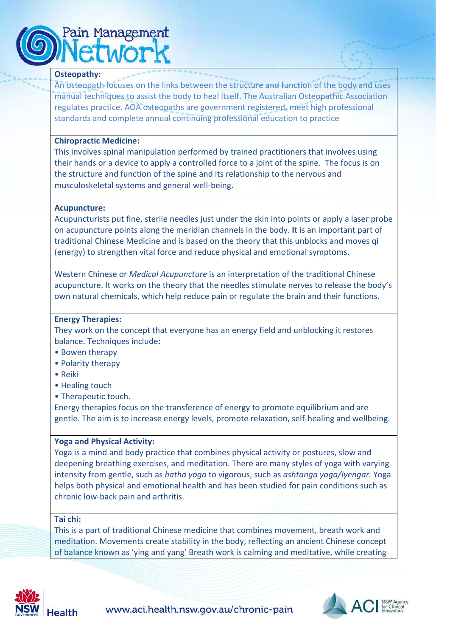# Pain Management

#### **Osteopathy:**

An osteopath focuses on the links between the structure and function of the body and uses manual techniques to assist the body to heal itself. The Australian Osteopathic Association regulates practice. AOA osteopaths are government registered, meet high professional standards and complete annual continuing professional education to practice

#### **Chiropractic Medicine:**

This involves spinal manipulation performed by trained practitioners that involves using their hands or a device to apply a controlled force to a joint of the spine. The focus is on the structure and function of the spine and its relationship to the nervous and musculoskeletal systems and general well-being.

#### **Acupuncture:**

Acupuncturists put fine, sterile needles just under the skin into points or apply a laser probe on acupuncture points along the meridian channels in the body. **I**t is an important part of traditional Chinese Medicine and is based on the theory that this unblocks and moves qi (energy) to strengthen vital force and reduce physical and emotional symptoms.

Western Chinese or *Medical Acupuncture* is an interpretation of the traditional Chinese acupuncture. It works on the theory that the needles stimulate nerves to release the body's own natural chemicals, which help reduce pain or regulate the brain and their functions.

#### **Energy Therapies:**

They work on the concept that everyone has an energy field and unblocking it restores balance. Techniques include:

- Bowen therapy
- Polarity therapy
- Reiki
- Healing touch
- Therapeutic touch.

Energy therapies focus on the transference of energy to promote equilibrium and are gentle. The aim is to increase energy levels, promote relaxation, self-healing and wellbeing.

#### **Yoga and Physical Activity:**

Yoga is a mind and body practice that combines physical activity or postures, slow and deepening breathing exercises, and meditation. There are many styles of yoga with varying intensity from gentle, such as *hatha yoga* to vigorous, such as *ashtanga yoga/Iyengar.* Yoga helps both physical and emotional health and has been studied for pain conditions such as chronic low-back pain and arthritis.

#### **Tai chi:**

This is a part of traditional Chinese medicine that combines movement, breath work and meditation. Movements create stability in the body, reflecting an ancient Chinese concept of balance known as 'ying and yang' Breath work is calming and meditative, while creating



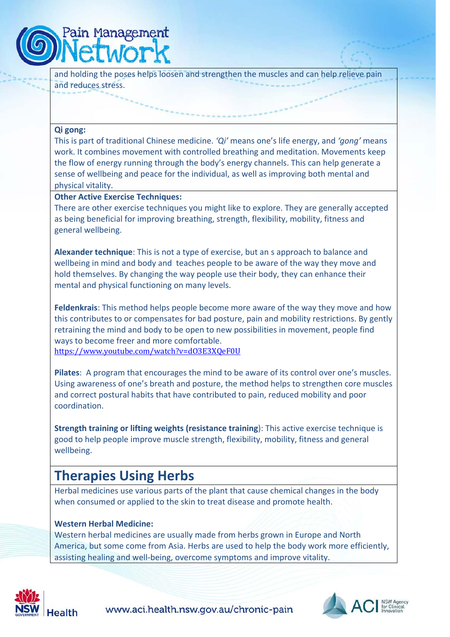

and holding the poses helps loosen and strengthen the muscles and can help relieve pain and reduces stress.

#### **Qi gong:**

This is part of traditional Chinese medicine. *'Qi'* means one's life energy, and *'gong'* means work. It combines movement with controlled breathing and meditation. Movements keep the flow of energy running through the body's energy channels. This can help generate a sense of wellbeing and peace for the individual, as well as improving both mental and physical vitality.

#### **Other Active Exercise Techniques:**

There are other exercise techniques you might like to explore. They are generally accepted as being beneficial for improving breathing, strength, flexibility, mobility, fitness and general wellbeing.

**Alexander technique**: This is not a type of exercise, but an s approach to balance and wellbeing in mind and body and teaches people to be aware of the way they move and hold themselves. By changing the way people use their body, they can enhance their mental and physical functioning on many levels.

**Feldenkrais**: This method helps people become more aware of the way they move and how this contributes to or compensates for bad posture, pain and mobility restrictions. By gently retraining the mind and body to be open to new possibilities in movement, people find ways to become freer and more comfortable. <https://www.youtube.com/watch?v=dO3E3XQeF0U>

**Pilates**: A program that encourages the mind to be aware of its control over one's muscles. Using awareness of one's breath and posture, the method helps to strengthen core muscles and correct postural habits that have contributed to pain, reduced mobility and poor coordination.

**Strength training or lifting weights (resistance training**): This active exercise technique is good to help people improve muscle strength, flexibility, mobility, fitness and general wellbeing.

### **Therapies Using Herbs**

Herbal medicines use various parts of the plant that cause chemical changes in the body when consumed or applied to the skin to treat disease and promote health.

#### **Western Herbal Medicine:**

Western herbal medicines are usually made from herbs grown in Europe and North America, but some come from Asia. Herbs are used to help the body work more efficiently, assisting healing and well-being, overcome symptoms and improve vitality.



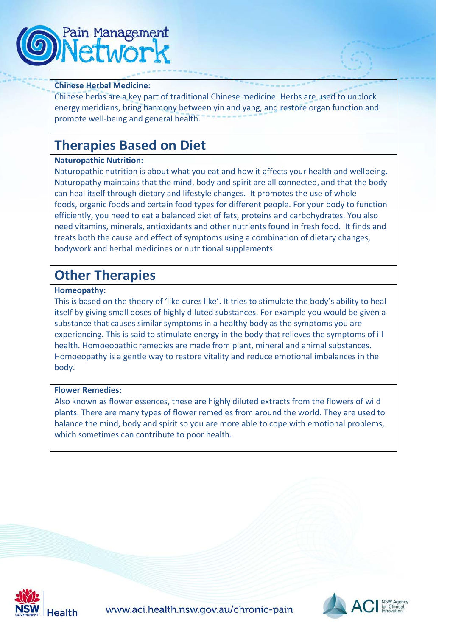

#### **Chinese Herbal Medicine:**

Chinese herbs are a key part of traditional Chinese medicine. Herbs are used to unblock energy meridians, bring harmony between yin and yang, and restore organ function and promote well-being and general health.

## **Therapies Based on Diet**

#### **Naturopathic Nutrition:**

Naturopathic nutrition is about what you eat and how it affects your health and wellbeing. Naturopathy maintains that the mind, body and spirit are all connected, and that the body can heal itself through dietary and lifestyle changes. It promotes the use of whole foods, organic foods and certain food types for different people. For your body to function efficiently, you need to eat a balanced diet of fats, proteins and carbohydrates. You also need vitamins, minerals, antioxidants and other nutrients found in fresh food. It finds and treats both the cause and effect of symptoms using a combination of dietary changes, bodywork and herbal medicines or nutritional supplements.

## **Other Therapies**

#### **Homeopathy:**

This is based on the theory of 'like cures like'. It tries to stimulate the body's ability to heal itself by giving small doses of highly diluted substances. For example you would be given a substance that causes similar symptoms in a healthy body as the symptoms you are experiencing. This is said to stimulate energy in the body that relieves the symptoms of ill health. Homoeopathic remedies are made from plant, mineral and animal substances. Homoeopathy is a gentle way to restore vitality and reduce emotional imbalances in the body.

#### **Flower Remedies:**

Also known as flower essences, these are highly diluted extracts from the flowers of wild plants. There are many types of flower remedies from around the world. They are used to balance the mind, body and spirit so you are more able to cope with emotional problems, which sometimes can contribute to poor health.



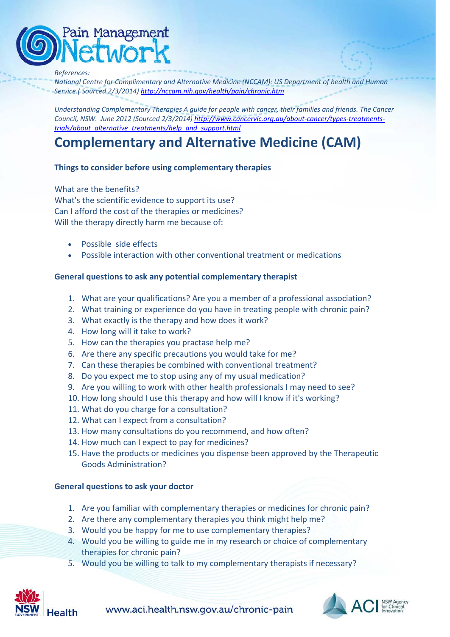## <sup>9</sup>ain Management

#### *References:*

*National Centre for Complimentary and Alternative Medicine (NCCAM): US Department of health and Human Service.( Sourced 2/3/2014[\) http://nccam.nih.gov/health/pain/chronic.htm](http://nccam.nih.gov/health/pain/chronic.htm)*

*Understanding Complementary Therapies A guide for people with cancer, their families and friends. The Cancer Council, NSW. June 2012 (Sourced 2/3/2014) [http://www.cancervic.org.au/about-cancer/types-treatments](http://www.cancervic.org.au/about-cancer/types-treatments-trials/about_alternative_treatments/help_and_support.html)[trials/about\\_alternative\\_treatments/help\\_and\\_support.html](http://www.cancervic.org.au/about-cancer/types-treatments-trials/about_alternative_treatments/help_and_support.html)*

## **Complementary and Alternative Medicine (CAM)**

#### **Things to consider before using complementary therapies**

What are the benefits? What's the scientific evidence to support its use? Can I afford the cost of the therapies or medicines? Will the therapy directly harm me because of:

- Possible side effects
- Possible interaction with other conventional treatment or medications

#### **General questions to ask any potential complementary therapist**

- 1. What are your qualifications? Are you a member of a professional association?
- 2. What training or experience do you have in treating people with chronic pain?
- 3. What exactly is the therapy and how does it work?
- 4. How long will it take to work?
- 5. How can the therapies you practase help me?
- 6. Are there any specific precautions you would take for me?
- 7. Can these therapies be combined with conventional treatment?
- 8. Do you expect me to stop using any of my usual medication?
- 9. Are you willing to work with other health professionals I may need to see?
- 10. How long should I use this therapy and how will I know if it's working?
- 11. What do you charge for a consultation?
- 12. What can I expect from a consultation?
- 13. How many consultations do you recommend, and how often?
- 14. How much can I expect to pay for medicines?
- 15. Have the products or medicines you dispense been approved by the Therapeutic Goods Administration?

#### **General questions to ask your doctor**

- 1. Are you familiar with complementary therapies or medicines for chronic pain?
- 2. Are there any complementary therapies you think might help me?
- 3. Would you be happy for me to use complementary therapies?
- 4. Would you be willing to guide me in my research or choice of complementary therapies for chronic pain?
- 5. Would you be willing to talk to my complementary therapists if necessary?



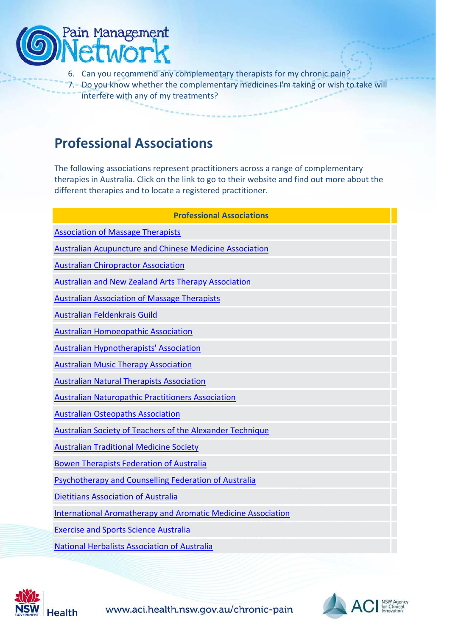

- 6. Can you recommend any complementary therapists for my chronic pain?
- 7. Do you know whether the complementary medicines I'm taking or wish to take will interfere with any of my treatments?

## **Professional Associations**

The following associations represent practitioners across a range of complementary therapies in Australia. Click on the link to go to their website and find out more about the different therapies and to locate a registered practitioner.

| <b>Professional Associations</b>                                    |
|---------------------------------------------------------------------|
| <b>Association of Massage Therapists</b>                            |
| <b>Australian Acupuncture and Chinese Medicine Association</b>      |
| <b>Australian Chiropractor Association</b>                          |
| <b>Australian and New Zealand Arts Therapy Association</b>          |
| <b>Australian Association of Massage Therapists</b>                 |
| Australian Feldenkrais Guild                                        |
| <b>Australian Homoeopathic Association</b>                          |
| <b>Australian Hypnotherapists' Association</b>                      |
| <b>Australian Music Therapy Association</b>                         |
| <b>Australian Natural Therapists Association</b>                    |
| <b>Australian Naturopathic Practitioners Association</b>            |
| <b>Australian Osteopaths Association</b>                            |
| Australian Society of Teachers of the Alexander Technique           |
| <b>Australian Traditional Medicine Society</b>                      |
| <b>Bowen Therapists Federation of Australia</b>                     |
| Psychotherapy and Counselling Federation of Australia               |
| <b>Dietitians Association of Australia</b>                          |
| <b>International Aromatherapy and Aromatic Medicine Association</b> |
| <b>Exercise and Sports Science Australia</b>                        |
| <b>National Herbalists Association of Australia</b>                 |
|                                                                     |